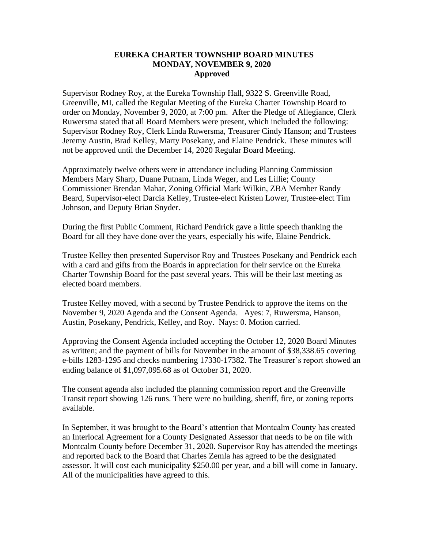## **EUREKA CHARTER TOWNSHIP BOARD MINUTES MONDAY, NOVEMBER 9, 2020 Approved**

Supervisor Rodney Roy, at the Eureka Township Hall, 9322 S. Greenville Road, Greenville, MI, called the Regular Meeting of the Eureka Charter Township Board to order on Monday, November 9, 2020, at 7:00 pm. After the Pledge of Allegiance, Clerk Ruwersma stated that all Board Members were present, which included the following: Supervisor Rodney Roy, Clerk Linda Ruwersma, Treasurer Cindy Hanson; and Trustees Jeremy Austin, Brad Kelley, Marty Posekany, and Elaine Pendrick. These minutes will not be approved until the December 14, 2020 Regular Board Meeting.

Approximately twelve others were in attendance including Planning Commission Members Mary Sharp, Duane Putnam, Linda Weger, and Les Lillie; County Commissioner Brendan Mahar, Zoning Official Mark Wilkin, ZBA Member Randy Beard, Supervisor-elect Darcia Kelley, Trustee-elect Kristen Lower, Trustee-elect Tim Johnson, and Deputy Brian Snyder.

During the first Public Comment, Richard Pendrick gave a little speech thanking the Board for all they have done over the years, especially his wife, Elaine Pendrick.

Trustee Kelley then presented Supervisor Roy and Trustees Posekany and Pendrick each with a card and gifts from the Boards in appreciation for their service on the Eureka Charter Township Board for the past several years. This will be their last meeting as elected board members.

Trustee Kelley moved, with a second by Trustee Pendrick to approve the items on the November 9, 2020 Agenda and the Consent Agenda. Ayes: 7, Ruwersma, Hanson, Austin, Posekany, Pendrick, Kelley, and Roy. Nays: 0. Motion carried.

Approving the Consent Agenda included accepting the October 12, 2020 Board Minutes as written; and the payment of bills for November in the amount of \$38,338.65 covering e-bills 1283-1295 and checks numbering 17330-17382. The Treasurer's report showed an ending balance of \$1,097,095.68 as of October 31, 2020.

The consent agenda also included the planning commission report and the Greenville Transit report showing 126 runs. There were no building, sheriff, fire, or zoning reports available.

In September, it was brought to the Board's attention that Montcalm County has created an Interlocal Agreement for a County Designated Assessor that needs to be on file with Montcalm County before December 31, 2020. Supervisor Roy has attended the meetings and reported back to the Board that Charles Zemla has agreed to be the designated assessor. It will cost each municipality \$250.00 per year, and a bill will come in January. All of the municipalities have agreed to this.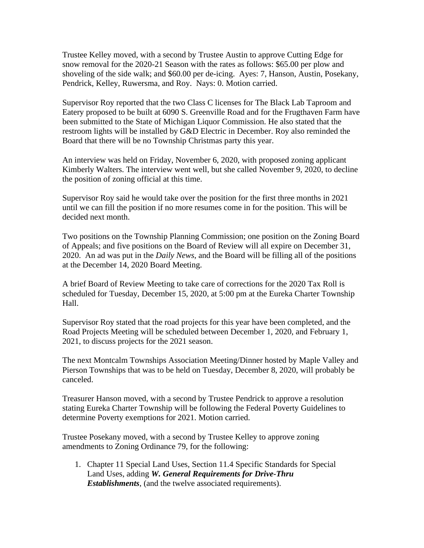Trustee Kelley moved, with a second by Trustee Austin to approve Cutting Edge for snow removal for the 2020-21 Season with the rates as follows: \$65.00 per plow and shoveling of the side walk; and \$60.00 per de-icing. Ayes: 7, Hanson, Austin, Posekany, Pendrick, Kelley, Ruwersma, and Roy. Nays: 0. Motion carried.

Supervisor Roy reported that the two Class C licenses for The Black Lab Taproom and Eatery proposed to be built at 6090 S. Greenville Road and for the Frugthaven Farm have been submitted to the State of Michigan Liquor Commission. He also stated that the restroom lights will be installed by G&D Electric in December. Roy also reminded the Board that there will be no Township Christmas party this year.

An interview was held on Friday, November 6, 2020, with proposed zoning applicant Kimberly Walters. The interview went well, but she called November 9, 2020, to decline the position of zoning official at this time.

Supervisor Roy said he would take over the position for the first three months in 2021 until we can fill the position if no more resumes come in for the position. This will be decided next month.

Two positions on the Township Planning Commission; one position on the Zoning Board of Appeals; and five positions on the Board of Review will all expire on December 31, 2020. An ad was put in the *Daily News*, and the Board will be filling all of the positions at the December 14, 2020 Board Meeting.

A brief Board of Review Meeting to take care of corrections for the 2020 Tax Roll is scheduled for Tuesday, December 15, 2020, at 5:00 pm at the Eureka Charter Township Hall.

Supervisor Roy stated that the road projects for this year have been completed, and the Road Projects Meeting will be scheduled between December 1, 2020, and February 1, 2021, to discuss projects for the 2021 season.

The next Montcalm Townships Association Meeting/Dinner hosted by Maple Valley and Pierson Townships that was to be held on Tuesday, December 8, 2020, will probably be canceled.

Treasurer Hanson moved, with a second by Trustee Pendrick to approve a resolution stating Eureka Charter Township will be following the Federal Poverty Guidelines to determine Poverty exemptions for 2021. Motion carried.

Trustee Posekany moved, with a second by Trustee Kelley to approve zoning amendments to Zoning Ordinance 79, for the following:

1. Chapter 11 Special Land Uses, Section 11.4 Specific Standards for Special Land Uses, adding *W. General Requirements for Drive-Thru Establishments*, (and the twelve associated requirements).